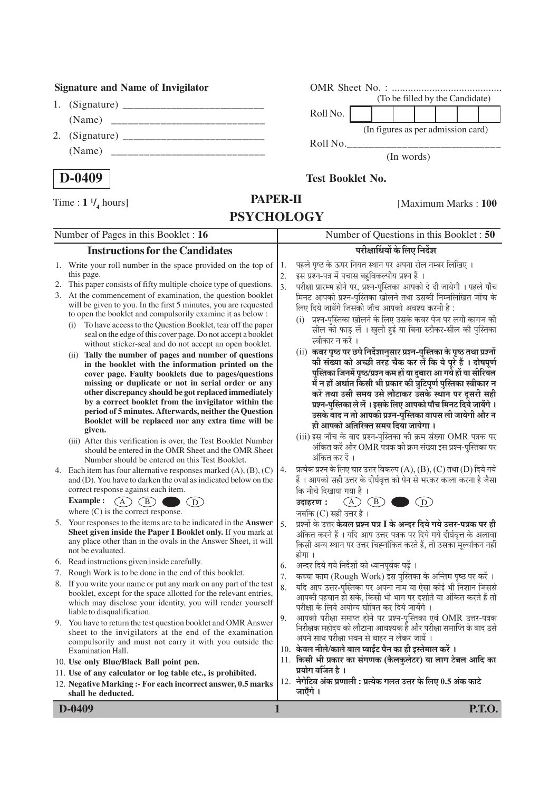## **Signature and Name of Invigilator**

- 1. (Signature) \_\_\_\_\_\_\_\_\_\_\_\_\_\_\_\_\_\_\_\_\_\_\_\_\_\_ (Name) \_\_\_\_\_\_\_\_\_\_\_\_\_\_\_\_\_\_\_\_\_\_\_\_\_\_\_\_ 2. (Signature) \_\_\_\_\_\_\_\_\_\_\_\_\_\_\_\_\_\_\_\_\_\_\_\_\_\_
- (Name) \_\_\_\_\_\_\_\_\_\_\_\_\_\_\_\_\_\_\_\_\_\_\_\_\_\_\_\_

| OMR Sheet No. $:$                  |  |  |  |  |  |  |  |
|------------------------------------|--|--|--|--|--|--|--|
| (To be filled by the Candidate)    |  |  |  |  |  |  |  |
| Roll No.                           |  |  |  |  |  |  |  |
| (In figures as per admission card) |  |  |  |  |  |  |  |

(In words)

**D-0409**

**/ 4** hours]

### **Test Booklet No.**

 $Roll No.$ 

[Maximum Marks : **100** 

|    | <b>PSYCHOLOGY</b>                                                                                                                                                                                                                                                                                                                                                                                                                                                                                                                                                                                                                                                                                                                                                                                                                                                                                                                                                                                          |                                          |                                                                                                                                                                                                                                                                                                                                                                                                                                                                                                                                                                                                                                                                                                                                                                                                                                                                                                                                                                             |  |
|----|------------------------------------------------------------------------------------------------------------------------------------------------------------------------------------------------------------------------------------------------------------------------------------------------------------------------------------------------------------------------------------------------------------------------------------------------------------------------------------------------------------------------------------------------------------------------------------------------------------------------------------------------------------------------------------------------------------------------------------------------------------------------------------------------------------------------------------------------------------------------------------------------------------------------------------------------------------------------------------------------------------|------------------------------------------|-----------------------------------------------------------------------------------------------------------------------------------------------------------------------------------------------------------------------------------------------------------------------------------------------------------------------------------------------------------------------------------------------------------------------------------------------------------------------------------------------------------------------------------------------------------------------------------------------------------------------------------------------------------------------------------------------------------------------------------------------------------------------------------------------------------------------------------------------------------------------------------------------------------------------------------------------------------------------------|--|
|    | Number of Pages in this Booklet : 16                                                                                                                                                                                                                                                                                                                                                                                                                                                                                                                                                                                                                                                                                                                                                                                                                                                                                                                                                                       | Number of Questions in this Booklet : 50 |                                                                                                                                                                                                                                                                                                                                                                                                                                                                                                                                                                                                                                                                                                                                                                                                                                                                                                                                                                             |  |
|    | <b>Instructions for the Candidates</b>                                                                                                                                                                                                                                                                                                                                                                                                                                                                                                                                                                                                                                                                                                                                                                                                                                                                                                                                                                     |                                          | परीक्षार्थियों के लिए निर्देश                                                                                                                                                                                                                                                                                                                                                                                                                                                                                                                                                                                                                                                                                                                                                                                                                                                                                                                                               |  |
| 2. | 1. Write your roll number in the space provided on the top of<br>this page.<br>This paper consists of fifty multiple-choice type of questions.<br>3. At the commencement of examination, the question booklet<br>will be given to you. In the first 5 minutes, you are requested<br>to open the booklet and compulsorily examine it as below :<br>To have access to the Question Booklet, tear off the paper<br>(i)<br>seal on the edge of this cover page. Do not accept a booklet<br>without sticker-seal and do not accept an open booklet.<br>(ii) Tally the number of pages and number of questions<br>in the booklet with the information printed on the<br>cover page. Faulty booklets due to pages/questions<br>missing or duplicate or not in serial order or any<br>other discrepancy should be got replaced immediately<br>by a correct booklet from the invigilator within the<br>period of 5 minutes. Afterwards, neither the Question<br>Booklet will be replaced nor any extra time will be | 1.<br>2.<br>$\overline{3}$ .             | पहले पृष्ठ के ऊपर नियत स्थान पर अपना रोल नम्बर लिखिए ।<br>इस प्रश्न-पत्र में पचास बहविकल्पीय प्रश्न हैं ।<br>परीक्षा प्रारम्भ होने पर, प्रश्न-पुस्तिका आपको दे दी जायेगी । पहले पाँच<br>मिनट आपको प्रश्न-पुस्तिका खोलने तथा उसकी निम्नलिखित जाँच के<br>लिए दिये जायेंगे जिसकी जाँच आपको अवश्य करनी है :<br>प्रश्न-पुस्तिका खोलने के लिए उसके कवर पेज पर लगी कागज की<br>(i)<br>सील को फाड़ लें । खुली हुई या बिना स्टीकर-सील की पुस्तिका<br>स्वीकार न करें ।<br>(ii) कवर पृष्ठ पर छपे निर्देशानुसार प्रश्न-पुस्तिका के पृष्ठ तथा प्रश्नों<br>की संख्या को अच्छी तरह चैक कर लें कि ये पूरे हैं । दोषपूर्ण<br>पुस्तिका जिनमें पृष्ठ/प्रश्न कम हों या दुबारा आ गये हों या सीरियल<br>में न हों अर्थात किसी भी प्रकार की त्रुटिपूर्ण पुस्तिका स्वीकार न<br>करें तथा उसी समय उसे लौटाकर उसके स्थान पर दूसरी सही<br>प्रश्न-पुस्तिका ले लें । इसके लिए आपको पाँच मिनट दिये जायेंगे ।<br>उसके बाद न तो आपकी प्रश्न-पुस्तिका वापस ली जायेगी और न<br>ही आपको अतिरिक्त समय दिया जायेगा । |  |
|    | given.<br>(iii) After this verification is over, the Test Booklet Number<br>should be entered in the OMR Sheet and the OMR Sheet<br>Number should be entered on this Test Booklet.<br>4. Each item has four alternative responses marked $(A)$ , $(B)$ , $(C)$<br>and (D). You have to darken the oval as indicated below on the<br>correct response against each item.<br>Example :                                                                                                                                                                                                                                                                                                                                                                                                                                                                                                                                                                                                                       | 4.                                       | (iii) इस जाँच के बाद प्रश्न-पुस्तिका की क्रम संख्या OMR पत्रक पर<br>अंकित करें और OMR पत्रक की क्रम संख्या इस प्रश्न-पुस्तिका पर<br>अंकित कर दें ।<br>प्रत्येक प्रश्न के लिए चार उत्तर विकल्प (A), (B), (C) तथा (D) दिये गये<br>हैं । आपको सही उत्तर के दीर्घवृत्त को पेन से भरकर काला करना है जैसा<br>कि नीचे दिखाया गया है ।<br>(B)                                                                                                                                                                                                                                                                                                                                                                                                                                                                                                                                                                                                                                       |  |
|    | $\mathbf{A}$<br>$B$ )<br>$D$ )<br>where $(C)$ is the correct response.                                                                                                                                                                                                                                                                                                                                                                                                                                                                                                                                                                                                                                                                                                                                                                                                                                                                                                                                     |                                          | (A<br>$\left( \overline{\mathbf{D}}\right)$<br>उदाहरण:<br>जबकि (C) सही उत्तर है ।                                                                                                                                                                                                                                                                                                                                                                                                                                                                                                                                                                                                                                                                                                                                                                                                                                                                                           |  |
|    | 5. Your responses to the items are to be indicated in the <b>Answer</b><br>Sheet given inside the Paper I Booklet only. If you mark at<br>any place other than in the ovals in the Answer Sheet, it will<br>not be evaluated.                                                                                                                                                                                                                                                                                                                                                                                                                                                                                                                                                                                                                                                                                                                                                                              | 5.                                       | प्रश्नों के उत्तर <b>केवल प्रश्न पत्र I के अन्दर दिये गये उत्तर-पत्रक पर ही</b><br>अंकित करने हैं । यदि आप उत्तर पत्रक पर दिये गये दीर्घवृत्त के अलावा<br>किसी अन्य स्थान पर उत्तर चिह्नांकित करते हैं, तो उसका मूल्यांकन नहीं<br>होगा ।                                                                                                                                                                                                                                                                                                                                                                                                                                                                                                                                                                                                                                                                                                                                    |  |
|    | 6. Read instructions given inside carefully.                                                                                                                                                                                                                                                                                                                                                                                                                                                                                                                                                                                                                                                                                                                                                                                                                                                                                                                                                               | 6.                                       | अन्दर दिये गये निर्देशों को ध्यानपूर्वक पढ़ें ।                                                                                                                                                                                                                                                                                                                                                                                                                                                                                                                                                                                                                                                                                                                                                                                                                                                                                                                             |  |
|    | 7. Rough Work is to be done in the end of this booklet.                                                                                                                                                                                                                                                                                                                                                                                                                                                                                                                                                                                                                                                                                                                                                                                                                                                                                                                                                    | 7.                                       | कच्चा काम (Rough Work) इस पुस्तिका के अन्तिम पृष्ठ पर करें ।                                                                                                                                                                                                                                                                                                                                                                                                                                                                                                                                                                                                                                                                                                                                                                                                                                                                                                                |  |
|    | 8. If you write your name or put any mark on any part of the test<br>booklet, except for the space allotted for the relevant entries,<br>which may disclose your identity, you will render yourself<br>liable to disqualification.                                                                                                                                                                                                                                                                                                                                                                                                                                                                                                                                                                                                                                                                                                                                                                         | 8.<br>9.                                 | यदि आप उत्तर-पुस्तिका पर अपना नाम या ऐसा कोई भी निशान जिससे<br>आपकी पहचान हो सके, किसी भी भाग पर दर्शाते या अंकित करते हैं तो<br>परीक्षा के लिये अयोग्य घोषित कर दिये जायेंगे ।<br>आपको परीक्षा समाप्त होने पर प्रश्न-पुस्तिका एवं OMR उत्तर-पत्रक                                                                                                                                                                                                                                                                                                                                                                                                                                                                                                                                                                                                                                                                                                                          |  |
|    | 9. You have to return the test question booklet and OMR Answer<br>sheet to the invigilators at the end of the examination<br>compulsorily and must not carry it with you outside the<br>Examination Hall.                                                                                                                                                                                                                                                                                                                                                                                                                                                                                                                                                                                                                                                                                                                                                                                                  |                                          | निरीक्षक महोदय को लौटाना आवश्यक हैं और परीक्षा समाप्ति के बाद उसे<br>अपने साथ परीक्षा भवन से बाहर न लेकर जायें ।<br>10. केवल नीले/काले बाल प्वाईंट पैन का ही इस्तेमाल करें ।                                                                                                                                                                                                                                                                                                                                                                                                                                                                                                                                                                                                                                                                                                                                                                                                |  |
|    | 10. Use only Blue/Black Ball point pen.                                                                                                                                                                                                                                                                                                                                                                                                                                                                                                                                                                                                                                                                                                                                                                                                                                                                                                                                                                    |                                          | 11. किसी भी प्रकार का संगणक (कैलकुलेटर) या लाग टेबल आदि का<br>प्रयोग वर्जित है ।                                                                                                                                                                                                                                                                                                                                                                                                                                                                                                                                                                                                                                                                                                                                                                                                                                                                                            |  |
|    | 11. Use of any calculator or log table etc., is prohibited.<br>12. Negative Marking :- For each incorrect answer, 0.5 marks<br>shall be deducted.                                                                                                                                                                                                                                                                                                                                                                                                                                                                                                                                                                                                                                                                                                                                                                                                                                                          |                                          | 12. नेगेटिव अंक प्रणाली: प्रत्येक गलत उत्तर के लिए 0.5 अंक काटे<br>जाएँगे ।                                                                                                                                                                                                                                                                                                                                                                                                                                                                                                                                                                                                                                                                                                                                                                                                                                                                                                 |  |

**PAPER-II**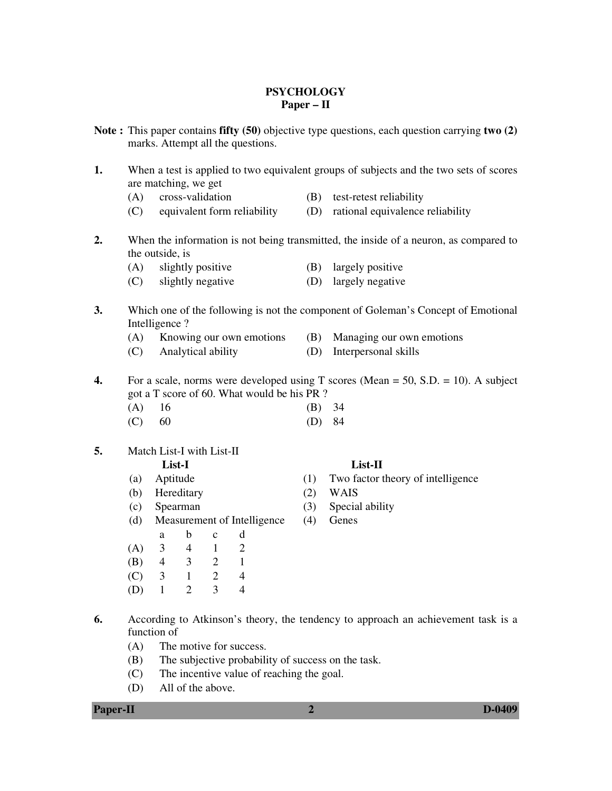### **PSYCHOLOGY Paper – II**

- **Note :** This paper contains **fifty (50)** objective type questions, each question carrying **two (2)**  marks. Attempt all the questions.
- **1.** When a test is applied to two equivalent groups of subjects and the two sets of scores are matching, we get
	- (A) cross-validation (B) test-retest reliability
	- (C) equivalent form reliability (D) rational equivalence reliability
- **2.** When the information is not being transmitted, the inside of a neuron, as compared to the outside, is
	- (A) slightly positive (B) largely positive
	- (C) slightly negative (D) largely negative
- **3.** Which one of the following is not the component of Goleman's Concept of Emotional Intelligence ?
	- (A) Knowing our own emotions (B) Managing our own emotions
	- (C) Analytical ability (D) Interpersonal skills
- **4.** For a scale, norms were developed using T scores (Mean = 50, S.D. = 10). A subject got a T score of 60. What would be his PR ?
	- (A) 16 (B) 34
	- (C) 60 (D) 84
- **5.** Match List-I with List-II

- 
- (b) Hereditary (2) WAIS
- (c) Spearman (3) Special ability
- (d) Measurement of Intelligence (4) Genes
- a b c d
	- (A) 3 4 1 2
	- (B) 4 3 2 1
	- (C) 3 1 2 4
	- (D) 1 2 3 4
- **6.** According to Atkinson's theory, the tendency to approach an achievement task is a function of
	- (A) The motive for success.
	- (B) The subjective probability of success on the task.
	- (C) The incentive value of reaching the goal.
	- (D) All of the above.

#### **Paper-II D-0409**

# **List-I List-II**

- (a) Aptitude (1) Two factor theory of intelligence
	-
	-
	-
- -
-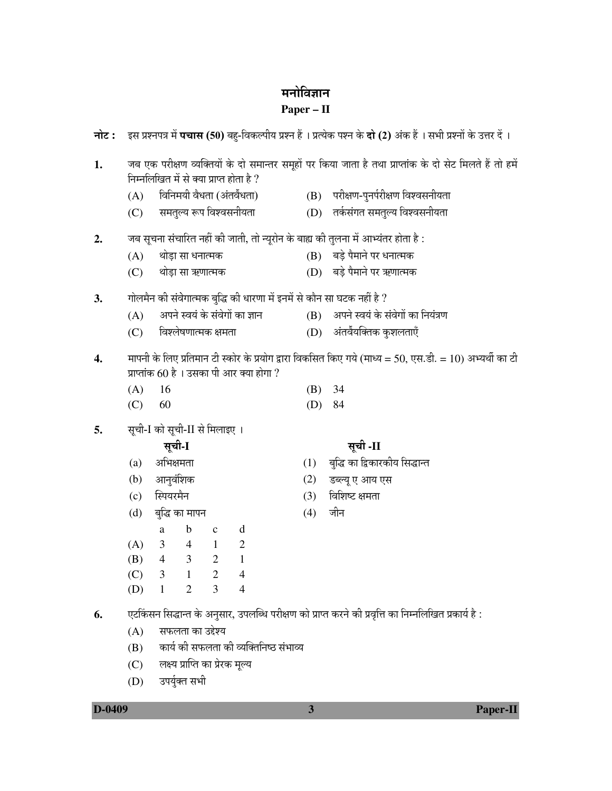# मनोविज्ञान

## **Paper – II**

- −nोट: इस प्रश्नपत्र में पचास (50) बह-विकल्पीय प्रश्न हैं। प्रत्येक पश्न के दो (2) अंक हैं। सभी प्रश्नों के उत्तर दें। 1. • जब एक परीक्षण व्यक्तियों के दो समान्तर समूहों पर किया जाता है तथा प्राप्तांक के दो सेट मिलते हैं तो हमें  $\hat{F}$ निम्नलिखित में से क्या प्राप्त होता है ?  $(A)$  विनिमयी वैधता (अंतर्वेंधता)  $(B)$  परीक्षण-पुनर्परीक्षण विश्वसनीयता  $(C)$  समतुल्य रूप विश्वसनीयता $(D)$  तर्कसंगत समतुल्य विश्वसनीयता 2. • • जब सृचना संचारित नहीं की जाती, तो न्यूरोन के बाह्य की तुलना में आभ्यंतर होता है :  $(A)$  थोडा सा धनात्मक  $(B)$  बडे पैमाने पर धनात्मक  $(C)$  थोड़ा सा ऋणात्मक  $(D)$  बड़े पैमाने पर ऋणात्मक 3. ∩ोलमैन की संवेगात्मक बृद्धि की धारणा में इनमें से कौन सा घटक नहीं है ?  $(A)$  344 देखिं के संवेगों का ज्ञान (B) अपने स्वयं के संवेगों का नियंत्रण  $(C)$  विश्लेषणात्मक क्षमता  $(D)$  अंतर्वैयक्तिक कुशलताएँ 4. मापनी के लिए प्रतिमान टी स्कोर के प्रयोग द्वारा विकसित किए गये (माध्य = 50, एस.डी. = 10) अभ्यर्थी का टी प्राप्तांक 60 है । उसका पी आर क्या होगा ? (A) 16 (B) 34 (C) 60 (D) 84 **5.** सूची-I को सूची-II से मिलाइए । ÃÖæ"Öß**-I** ÃÖæ"Öß **-II**   $\qquad \qquad \text{(a)} \quad \text{``3}$ अभिक्षमता $\qquad \qquad \text{(1)} \quad \text{``3}$ द्धि का द्विकारकीय सिद्धान्त (b) †Ö−Öã¾ÖÓ׿Öú (2) ›ü²»µÖæ ‹ †ÖµÖ ‹ÃÖ (c) स्पियरमैन (3) विशिष्ट क्षमता (d) ²Öãרü úÖ ´ÖÖ¯Ö−Ö (4) •Öß−Ö a b c d (A) 3 4 1 2 (B) 4 3 2 1 (C) 3 1 2 4 (D) 1 2 3 4 **6.** ∴ एटकिंसन सिद्धान्त के अनुसार, उपलब्धि परीक्षण को प्राप्त करने की प्रवृत्ति का निम्नलिखित प्रकार्य है : (A) सफलता का उद्देश्य
	- $(B)$  कार्य की सफलता की व्यक्तिनिष्ठ संभाव्य
	- (C) लक्ष्य प्राप्ति का प्रेरक मूल्य
	- (D) उपर्युक्त सभी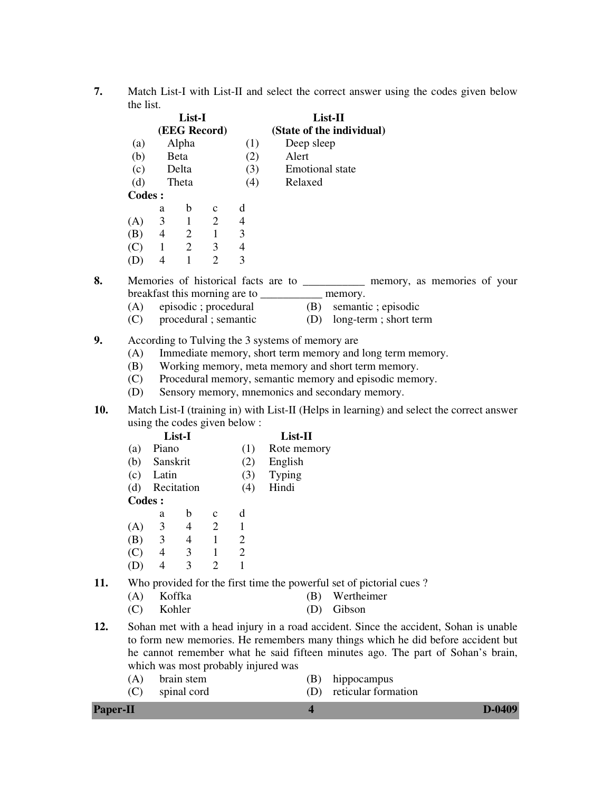**7.** Match List-I with List-II and select the correct answer using the codes given below the list.

|         | List-I<br>(EEG Record) |                |                |     | List-II<br>(State of the individual) |  |  |
|---------|------------------------|----------------|----------------|-----|--------------------------------------|--|--|
|         |                        |                |                |     |                                      |  |  |
| (a)     |                        | Alpha          |                | (1) | Deep sleep                           |  |  |
| (b)     |                        | Beta           |                | (2) | Alert                                |  |  |
| (c)     |                        | Delta          |                | (3) | Emotional state                      |  |  |
| (d)     |                        | Theta          |                | (4) | Relaxed                              |  |  |
| Codes : |                        |                |                |     |                                      |  |  |
|         | a                      | b              | $\mathbf{C}$   | d   |                                      |  |  |
| (A)     | 3                      |                | $\overline{2}$ | 4   |                                      |  |  |
| (B)     | 4                      | 2              |                | 3   |                                      |  |  |
| (C)     | 1                      | $\overline{2}$ | 3              | 4   |                                      |  |  |
| (D)     | 4                      |                | 2              | 3   |                                      |  |  |

- **8.** Memories of historical facts are to \_\_\_\_\_\_\_\_\_\_\_\_\_ memory, as memories of your breakfast this morning are to \_\_\_\_\_\_\_\_\_\_\_ memory.
	- (A) episodic ; procedural (B) semantic ; episodic
	- (C) procedural ; semantic (D) long-term ; short term
- **9.** According to Tulving the 3 systems of memory are
	- (A) Immediate memory, short term memory and long term memory.
	- (B) Working memory, meta memory and short term memory.
	- (C) Procedural memory, semantic memory and episodic memory.
	- (D) Sensory memory, mnemonics and secondary memory.
- **10.** Match List-I (training in) with List-II (Helps in learning) and select the correct answer using the codes given below :<br>List-I

- **List-I**<br>(a) Piano (1) Rote mem  $(1)$  Rote memory
- (b) Sanskrit (2) English
- (c) Latin (3) Typing
- (d) Recitation (4) Hindi

### **Codes :**

|     | a | b | c | d                           |
|-----|---|---|---|-----------------------------|
| (A) | 3 |   | 2 |                             |
| (B) | 3 |   |   | $\mathcal{D}_{\mathcal{A}}$ |
| (C) | 4 | 3 |   | 2                           |
| (D) | 4 | 3 | 7 |                             |

**11.** Who provided for the first time the powerful set of pictorial cues ?

| (A) Koffka                      | (B) Wertheimer        |
|---------------------------------|-----------------------|
| $(\bigcap)$ IZ - 1.1 - $\ldots$ | $\sqrt{N}$ $\sqrt{1}$ |

- (C) Kohler (D) Gibson
- **12.** Sohan met with a head injury in a road accident. Since the accident, Sohan is unable to form new memories. He remembers many things which he did before accident but he cannot remember what he said fifteen minutes ago. The part of Sohan's brain, which was most probably injured was
	- (A) brain stem (B) hippocampus
		-
	- (C) spinal cord (D) reticular formation

# **Paper-II D-0409**

- -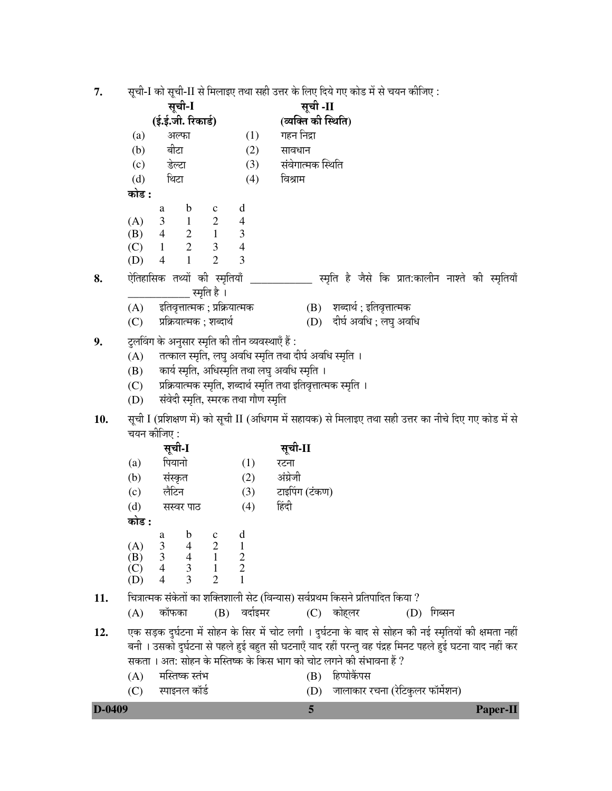्मची-L को सची-LL से मिलावा तथा सद्दी उत्तर के लिए दिये गए कोड़ में से चयन कीजिए  $\overline{7}$ 

| .,  |            |                                                                   |                                      |                                  |                                                        |                                                                                 | सूर्यांना का सूर्यांना स मिलाइर् राया सहा उत्तर के लिए पत्र गर् कांड में से यूवन कार्णिए .              |  |  |  |
|-----|------------|-------------------------------------------------------------------|--------------------------------------|----------------------------------|--------------------------------------------------------|---------------------------------------------------------------------------------|---------------------------------------------------------------------------------------------------------|--|--|--|
|     | सूची-I     |                                                                   |                                      |                                  |                                                        | सूची -II<br>(व्यक्ति की स्थिति)                                                 |                                                                                                         |  |  |  |
|     |            | (ई.ई.जी. रिकार्ड)                                                 |                                      |                                  |                                                        |                                                                                 |                                                                                                         |  |  |  |
|     | (a)        | अल्फा                                                             |                                      | (1)                              | गहन निद्रा                                             |                                                                                 |                                                                                                         |  |  |  |
|     | (b)        | बीटा                                                              |                                      | (2)                              | सावधान                                                 |                                                                                 |                                                                                                         |  |  |  |
|     | (c)        | डेल्टा                                                            |                                      | (3)                              | संवेगात्मक स्थिति                                      |                                                                                 |                                                                                                         |  |  |  |
|     | (d)        | थिटा                                                              |                                      | (4)                              | विश्राम                                                |                                                                                 |                                                                                                         |  |  |  |
|     | कोड :      |                                                                   |                                      |                                  |                                                        |                                                                                 |                                                                                                         |  |  |  |
|     | (A)        | $\mathbf b$<br>a<br>3<br>$\blacksquare$                           | $\mathbf{C}$<br>$\overline{2}$       | d<br>$\overline{4}$              |                                                        |                                                                                 |                                                                                                         |  |  |  |
|     | (B)        | $\overline{4}$                                                    |                                      | 3                                |                                                        |                                                                                 |                                                                                                         |  |  |  |
|     | (C)        | $\begin{array}{ccc}\n2 & 1 \\ 2 & 3\n\end{array}$<br>$\mathbf{1}$ |                                      | $\overline{4}$                   |                                                        |                                                                                 |                                                                                                         |  |  |  |
|     | (D)        | $\mathbf{1}$<br>$\overline{4}$                                    | $\overline{2}$                       | 3                                |                                                        |                                                                                 |                                                                                                         |  |  |  |
| 8.  |            | ऐतिहासिक तथ्यों की स्मृतियाँ                                      |                                      |                                  |                                                        |                                                                                 | स्मृति है जैसे कि प्रात:कालीन नाश्ते की स्मृतियाँ                                                       |  |  |  |
|     |            |                                                                   | स्मृति है ।                          |                                  |                                                        |                                                                                 |                                                                                                         |  |  |  |
|     | (A)        | इतिवृत्तात्मक ; प्रक्रियात्मक                                     |                                      |                                  |                                                        | (B) शब्दार्थ; इतिवृत्तात्मक                                                     |                                                                                                         |  |  |  |
|     | (C)        | प्रक्रियात्मक ; शब्दार्थ                                          |                                      |                                  |                                                        | (D) दीर्घ अवधि; लघु अवधि                                                        |                                                                                                         |  |  |  |
| 9.  |            | टुलविंग के अनुसार स्मृति की तीन व्यवस्थाएँ हैं :                  |                                      |                                  |                                                        |                                                                                 |                                                                                                         |  |  |  |
|     | (A)        |                                                                   |                                      |                                  | तत्काल स्मृति, लघु अवधि स्मृति तथा दीर्घ अवधि स्मृति । |                                                                                 |                                                                                                         |  |  |  |
|     | (B)        |                                                                   |                                      |                                  | कार्य स्मृति, अधिस्मृति तथा लघु अवधि स्मृति ।          |                                                                                 |                                                                                                         |  |  |  |
|     | (C)        |                                                                   |                                      |                                  |                                                        | प्रक्रियात्मक स्मृति, शब्दार्थ स्मृति तथा इतिवृत्तात्मक स्मृति ।                |                                                                                                         |  |  |  |
|     | (D)        | संवेदी स्मृति, स्मरक तथा गौण स्मृति                               |                                      |                                  |                                                        |                                                                                 |                                                                                                         |  |  |  |
| 10. |            |                                                                   |                                      |                                  |                                                        |                                                                                 | सूची I (प्रशिक्षण में) को सूची II (अधिगम में सहायक) से मिलाइए तथा सही उत्तर का नीचे दिए गए कोड में से   |  |  |  |
|     |            | चयन कीजिए :                                                       |                                      |                                  |                                                        |                                                                                 |                                                                                                         |  |  |  |
|     |            | सूची-I                                                            |                                      |                                  | सूची-II                                                |                                                                                 |                                                                                                         |  |  |  |
|     | (a)        | पियानो                                                            |                                      | (1)                              | रटना                                                   |                                                                                 |                                                                                                         |  |  |  |
|     | (b)        | संस्कृत                                                           |                                      | (2)                              | अंग्रेजी                                               |                                                                                 |                                                                                                         |  |  |  |
|     | (c)        | लैटिन                                                             |                                      | (3)                              | टाइपिंग (टंकण)                                         |                                                                                 |                                                                                                         |  |  |  |
|     | (d)        | सस्वर पाठ                                                         |                                      | (4)                              | हिंदी                                                  |                                                                                 |                                                                                                         |  |  |  |
|     | कोड :      |                                                                   |                                      |                                  |                                                        |                                                                                 |                                                                                                         |  |  |  |
|     |            | b<br>a                                                            | $\mathbf c$                          | d                                |                                                        |                                                                                 |                                                                                                         |  |  |  |
|     | (A)        | $\frac{3}{3}$<br>$\overline{4}$                                   | $\sqrt{2}$                           | $\mathbf{1}$                     |                                                        |                                                                                 |                                                                                                         |  |  |  |
|     | (B)<br>(C) | $\overline{4}$<br>$3 \quad 1$<br>$\overline{4}$                   | $\begin{array}{ccc} & 1 \end{array}$ | $\overline{2}$<br>$\overline{2}$ |                                                        |                                                                                 |                                                                                                         |  |  |  |
|     | (D)        | 3<br>4                                                            | $\overline{2}$                       | 1                                |                                                        |                                                                                 |                                                                                                         |  |  |  |
| 11. |            |                                                                   |                                      |                                  |                                                        | चित्रात्मक संकेतों का शक्तिशाली सेट (विन्यास) सर्वप्रथम किसने प्रतिपादित किया ? |                                                                                                         |  |  |  |
|     | (A)        | कॉफका                                                             |                                      | (B) वर्दाइमर                     | (C) कोहलर                                              |                                                                                 | (D) गिब्सन                                                                                              |  |  |  |
| 12. |            |                                                                   |                                      |                                  |                                                        |                                                                                 | एक सड़क दुर्घटना में सोहन के सिर में चोट लगी । दुर्घटना के बाद से सोहन की नई स्मृतियों की क्षमता नहीं   |  |  |  |
|     |            |                                                                   |                                      |                                  |                                                        |                                                                                 | बनी । उसको दुर्घटना से पहले हुई बहुत सी घटनाएँ याद रहीं परन्तु वह पंद्रह मिनट पहले हुई घटना याद नहीं कर |  |  |  |
|     |            |                                                                   |                                      |                                  |                                                        | सकता । अत: सोहन के मस्तिष्क के किस भाग को चोट लगने की संभावना हैं ?             |                                                                                                         |  |  |  |
|     | (A)        | मस्तिष्क स्तंभ                                                    |                                      |                                  | (B)                                                    | हिप्पोकैंपस                                                                     |                                                                                                         |  |  |  |
|     | (C)        | स्पाइनल कॉर्ड                                                     |                                      |                                  | (D)                                                    |                                                                                 | जालाकार रचना (रेटिकुलर फॉर्मेशन)                                                                        |  |  |  |

| D-0409<br><b>Paper-II</b> |
|---------------------------|
|---------------------------|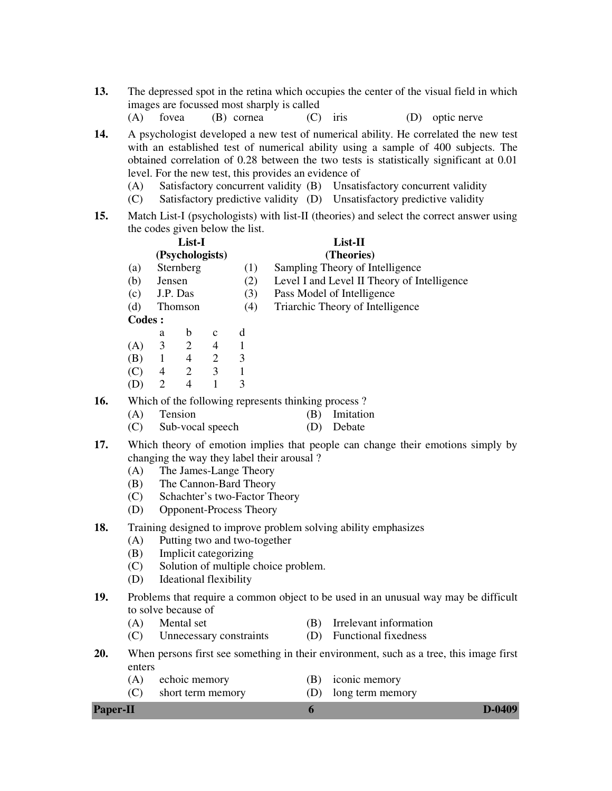- **13.** The depressed spot in the retina which occupies the center of the visual field in which images are focussed most sharply is called
	- (A) fovea (B) cornea (C) iris (D) optic nerve

**14.** A psychologist developed a new test of numerical ability. He correlated the new test with an established test of numerical ability using a sample of 400 subjects. The obtained correlation of 0.28 between the two tests is statistically significant at 0.01 level. For the new test, this provides an evidence of

- (A) Satisfactory concurrent validity (B) Unsatisfactory concurrent validity
- (C) Satisfactory predictive validity (D) Unsatisfactory predictive validity
- **15.** Match List-I (psychologists) with list-II (theories) and select the correct answer using the codes given below the list.

|     |         |        | List-I          |             |     | List-II                                             |  |  |
|-----|---------|--------|-----------------|-------------|-----|-----------------------------------------------------|--|--|
|     |         |        | (Psychologists) |             |     | (Theories)                                          |  |  |
|     | (a)     |        | Sternberg       |             | (1) | Sampling Theory of Intelligence                     |  |  |
|     | (b)     | Jensen |                 |             | (2) | Level I and Level II Theory of Intelligence         |  |  |
|     | (c)     |        | J.P. Das        |             | (3) | Pass Model of Intelligence                          |  |  |
|     | (d)     |        | Thomson         |             | (4) | Triarchic Theory of Intelligence                    |  |  |
|     | Codes : |        |                 |             |     |                                                     |  |  |
|     |         | a      | b               | $\mathbf c$ | d   |                                                     |  |  |
|     | (A)     | 3      | 2               | 4           |     |                                                     |  |  |
|     | (B)     | 1      | 4               | 2           | 3   |                                                     |  |  |
|     | (C)     | 4      | 2               | 3           |     |                                                     |  |  |
|     | (D)     | 2      | 4               |             | 3   |                                                     |  |  |
| 16. |         |        |                 |             |     | Which of the following represents thinking process? |  |  |
|     | (A)     |        | Tension         |             |     | Imitation<br>ΈĐ)                                    |  |  |

- - (C) Sub-vocal speech (D) Debate
- **17.** Which theory of emotion implies that people can change their emotions simply by changing the way they label their arousal ?
	- (A) The James-Lange Theory
	- (B) The Cannon-Bard Theory
	- (C) Schachter's two-Factor Theory
	- (D) Opponent-Process Theory
- **18.** Training designed to improve problem solving ability emphasizes

#### (A) Putting two and two-together

- (B) Implicit categorizing
- (C) Solution of multiple choice problem.
- (D) Ideational flexibility
- **19.** Problems that require a common object to be used in an unusual way may be difficult to solve because of
	- (A) Mental set (B) Irrelevant information
	- (C) Unnecessary constraints (D) Functional fixedness
- **20.** When persons first see something in their environment, such as a tree, this image first enters
	- (A) echoic memory (B) iconic memory
		-
	- (C) short term memory (D) long term memory

### **Paper-II b D-0409**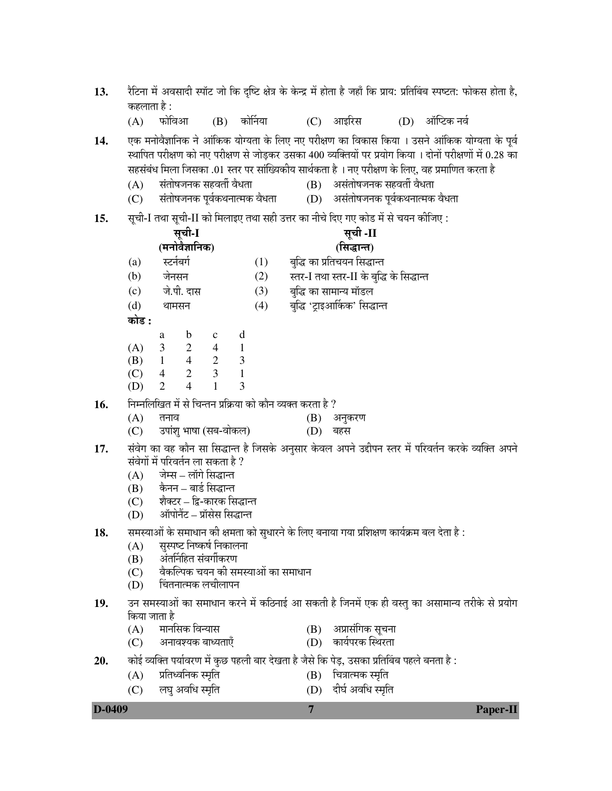- 13. रैटिना में अवसादी स्पॉट जो कि दृष्टि क्षेत्र के केन्द्र में होता है जहाँ कि प्राय: प्रतिबिंब स्पष्टत: फोकस होता है, कहलाता है :
	- $(A)$  फोविआ  $(B)$  कोर्निया  $(C)$  आइरिस  $(D)$  ऑप्टिक नर्व

14. **[**U&+¤da) प्रनोवैज्ञानिक ने आंकिक योग्यता के लिए नए परीक्षण का विकास किया । उसने आंकिक योग्यता के पूर्व स्थापित परीक्षण को नए परीक्षण से जोडकर उसका 400 व्यक्तियों पर प्रयोग किया । दोनों परीक्षणों में 0.28 का ÃÖÆüÃÖÓ²ÖÓ¬Ö ×´Ö»ÖÖ ×•ÖÃÖúÖ .01 ßָü ¯Ö¸ü ÃÖÖÓÛ-µÖúßµÖ ÃÖÖ£ÖÔúŸÖÖ Æîü … −Ö‹ ¯Ö¸üß%Ö&Ö êú ×»Ö‹, ¾ÖÆü ¯ÖÏ´ÖÖ×&ÖŸÖ ú¸üŸÖÖ Æîü

- $(A)$  संतोषजनक सहवर्ती वैधता (B) असंतोषजनक सहवर्ती वैधता
- $(C)$  संतोषजनक पूर्वकथनात्मक वैधता $(D)$  असंतोषजनक पूर्वकथनात्मक वैधता
- 15. सची-I तथा सची-II को मिलाइए तथा सही उत्तर का नीचे दिए गए कोड में से चयन कीजिए :

|     | सूची-I       |                |                                                                                     |              |   |     | सूची -II                                                                                           |
|-----|--------------|----------------|-------------------------------------------------------------------------------------|--------------|---|-----|----------------------------------------------------------------------------------------------------|
|     |              |                | (मनोवैज्ञानिक)                                                                      |              |   |     | (सिद्धान्त)                                                                                        |
|     | (a)          |                | स्टर्नबर्ग                                                                          |              |   | (1) | बुद्धि का प्रतिचयन सिद्धान्त                                                                       |
|     | (b)          |                | जेनसन                                                                               |              |   | (2) | स्तर-I तथा स्तर-II के बुद्धि के सिद्धान्त                                                          |
|     | (c)          |                | जे.पी. दास                                                                          |              |   | (3) | बुद्धि का सामान्य मॉडल                                                                             |
|     | (d)          |                | थामसन                                                                               |              |   | (4) | बुद्धि 'ट्राइआर्किक' सिद्धान्त                                                                     |
|     | कोड :        |                |                                                                                     |              |   |     |                                                                                                    |
|     |              | a              | $\mathbf b$                                                                         | $\mathbf{c}$ | d |     |                                                                                                    |
|     | (A)          |                |                                                                                     |              |   |     |                                                                                                    |
|     | (B)          | $\overline{1}$ | $\begin{array}{cccccc} 3 & 2 & 4 & 1 \\ 1 & 4 & 2 & 3 \\ 4 & 2 & 3 & 1 \end{array}$ |              |   |     |                                                                                                    |
|     | (C)          | $\overline{4}$ |                                                                                     |              |   |     |                                                                                                    |
|     | (D)          | 2              | $\overline{4}$                                                                      | $\mathbf{1}$ | 3 |     |                                                                                                    |
| 16. |              |                |                                                                                     |              |   |     | निम्नलिखित में से चिन्तन प्रक्रिया को कौन व्यक्त करता है ?                                         |
|     | (A)          | तनाव           |                                                                                     |              |   |     | (B)<br>अनुकरण                                                                                      |
|     | (C)          |                | उपांशु भाषा (सब-वोकल)                                                               |              |   |     | (D)<br>बहस                                                                                         |
| 17. |              |                |                                                                                     |              |   |     | संवेग का वह कौन सा सिद्धान्त है जिसके अनुसार केवल अपने उद्दीपन स्तर में परिवर्तन करके व्यक्ति अपने |
|     |              |                | संवेगों में परिवर्तन ला सकता है ?                                                   |              |   |     |                                                                                                    |
|     | (A)          |                | जेम्स – लॉगे सिद्धान्त                                                              |              |   |     |                                                                                                    |
|     |              |                | (B) कैनन – बार्ड सिद्धान्त                                                          |              |   |     |                                                                                                    |
|     |              |                | (C) शैक्टर – द्वि-कारक सिद्धान्त                                                    |              |   |     |                                                                                                    |
|     | (D)          |                | ऑपोनैंट – प्रॉसेस सिद्धान्त                                                         |              |   |     |                                                                                                    |
| 18. |              |                |                                                                                     |              |   |     | : समस्याओं के समाधान की क्षमता को सुधारने के लिए बनाया गया प्रशिक्षण कार्यक्रम बल देता है          |
|     | (A)          |                | सुस्पष्ट निष्कर्ष निकालना                                                           |              |   |     |                                                                                                    |
|     | (B)          |                | अंतर्निहित संवर्गीकरण                                                               |              |   |     |                                                                                                    |
|     | (C)          |                |                                                                                     |              |   |     | वैकल्पिक चयन की समस्याओं का समाधान                                                                 |
|     | (D)          |                | चिंतनात्मक लचीलापन                                                                  |              |   |     |                                                                                                    |
| 19. |              |                |                                                                                     |              |   |     | उन समस्याओं का समाधान करने में कठिनाई आ सकती है जिनमें एक ही वस्तु का असामान्य तरीके से प्रयोग     |
|     | किया जाता है |                |                                                                                     |              |   |     |                                                                                                    |

- किया जाता है
	- (A) ´ÖÖ−Ö×ÃÖú ×¾Ö−µÖÖÃÖ (B) †¯ÖÏÖÃÖÓ×6Öú ÃÖæ"Ö−ÖÖ
		-
	- (C) †−ÖÖ¾Ö¿µÖú ²ÖÖ¬µÖŸÖÖ‹Ñ (D) úÖµÖÔ¯Ö¸üú ÛãָüŸÖÖ
- 
- <u>20. ú</u> कोई व्यक्ति पर्यावरण में कुछ पहली बार देखता है जैसे कि पेड, उसका प्रतिबिंब पहले बनता है :
	-
	- (A) ¯ÖÏן֬¾Ö×−Öú ôÖéןÖ (B) ד֡ÖÖŸ´Öú ôÖéןÖ (C) लघु अवधि स्मृति (D) दीर्घ अवधि स्मृति

**D-0409 7 Paper-II**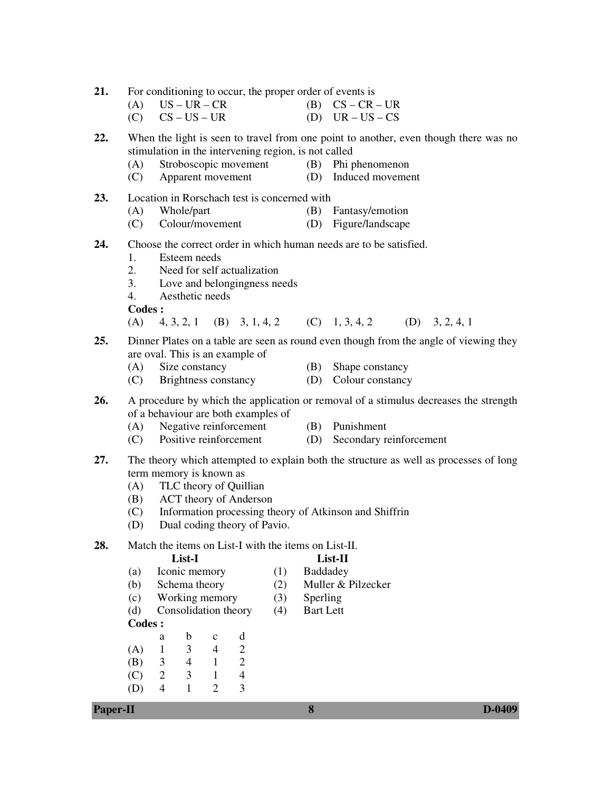21. For conditioning to occur, the proper order of events is

- (A)  $US UR CR$  (B)  $CS CR UR$
- $(C)$   $CS US UR$  (D)  $UR US CS$

**22.** When the light is seen to travel from one point to another, even though there was no stimulation in the intervening region, is not called

- (A) Stroboscopic movement (B) Phi phenomenon
- (C) Apparent movement (D) Induced movement
- **23.** Location in Rorschach test is concerned with
	- (A) Whole/part (B) Fantasy/emotion
	- (C) Colour/movement (D) Figure/landscape
- **24.** Choose the correct order in which human needs are to be satisfied.
	- 1. Esteem needs
	- 2. Need for self actualization
	- 3. Love and belongingness needs
	- 4. Aesthetic needs

**Codes :** 

- (A) 4, 3, 2, 1 (B) 3, 1, 4, 2 (C) 1, 3, 4, 2 (D) 3, 2, 4, 1
- **25.** Dinner Plates on a table are seen as round even though from the angle of viewing they are oval. This is an example of
	- (A) Size constancy (B) Shape constancy
	- (C) Brightness constancy (D) Colour constancy
- **26.** A procedure by which the application or removal of a stimulus decreases the strength of a behaviour are both examples of
	- (A) Negative reinforcement (B) Punishment
	- (C) Positive reinforcement (D) Secondary reinforcement
- -
- **27.** The theory which attempted to explain both the structure as well as processes of long term memory is known as
	- (A) TLC theory of Quillian
	- (B) ACT theory of Anderson
	- (C) Information processing theory of Atkinson and Shiffrin
	- (D) Dual coding theory of Pavio.
- **28.** Match the items on List-I with the items on List-II.

 **List-I List-II** 

# (a) Iconic memory (1) Baddadey

- (b) Schema theory (2) Muller & Pilzecker
- (c) Working memory (3) Sperling
- (d) Consolidation theory (4) Bart Lett
- **Codes :**
- a b c d (A) 1 3 4 2 (B) 3 4 1 2 (C) 2 3 1 4 (D) 4 1 2 3

### **Paper-II 8 D-0409**

- 
-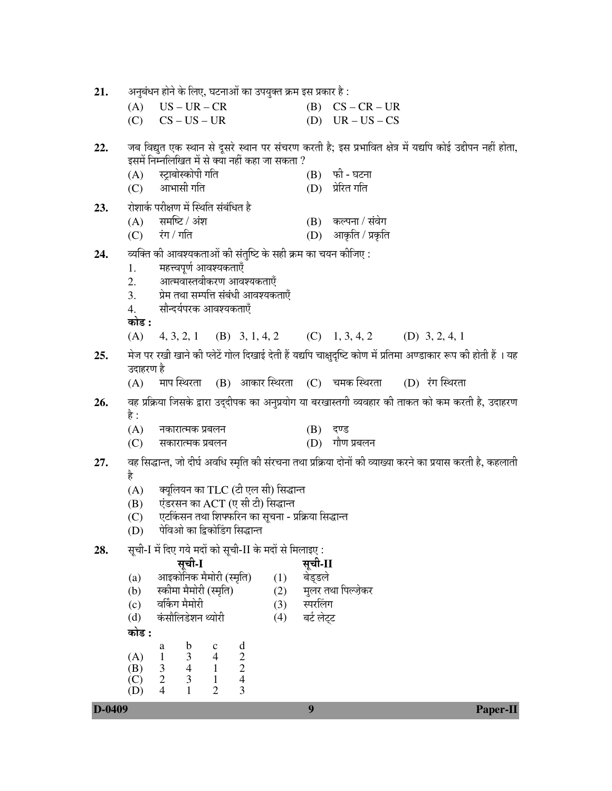| 21.    | अनुबंधन होने के लिए, घटनाओं का उपयुक्त क्रम इस प्रकार है :                                                                                                    |                                                                           |                    |                                           |                                                                                                                 |  |  |  |  |  |
|--------|---------------------------------------------------------------------------------------------------------------------------------------------------------------|---------------------------------------------------------------------------|--------------------|-------------------------------------------|-----------------------------------------------------------------------------------------------------------------|--|--|--|--|--|
|        | $US - UR - CR$<br>(A)                                                                                                                                         |                                                                           |                    | $(B)$ $CS - CR - UR$                      |                                                                                                                 |  |  |  |  |  |
|        | $(C)$ $CS - US - UR$                                                                                                                                          |                                                                           |                    | (D) $UR - US - CS$                        |                                                                                                                 |  |  |  |  |  |
| 22.    | जब विद्युत एक स्थान से दूसरे स्थान पर संचरण करती है; इस प्रभावित क्षेत्र में यद्यपि कोई उद्दीपन नहीं होता,<br>इसमें निम्नलिखित में से क्या नहीं कहा जा सकता ? |                                                                           |                    |                                           |                                                                                                                 |  |  |  |  |  |
|        | स्ट्राबोस्कोपी गति<br>(A)<br>आभासी गति<br>(C)                                                                                                                 |                                                                           |                    | (B) फी - घटना<br>(D) प्रेरित गति          |                                                                                                                 |  |  |  |  |  |
| 23.    | रोशार्क परीक्षण में स्थिति संबंधित है                                                                                                                         |                                                                           |                    |                                           |                                                                                                                 |  |  |  |  |  |
|        | $(A)$ समष्टि / अंश<br>$(C)$ रंग / गति                                                                                                                         |                                                                           |                    | (B) कल्पना / संवेग<br>(D) आकृति / प्रकृति |                                                                                                                 |  |  |  |  |  |
| 24.    |                                                                                                                                                               |                                                                           |                    |                                           |                                                                                                                 |  |  |  |  |  |
|        | व्यक्ति की आवश्यकताओं की संतुष्टि के सही क्रम का चयन कीजिए :<br>महत्त्वपूर्ण आवश्यकताएँ<br>1.                                                                 |                                                                           |                    |                                           |                                                                                                                 |  |  |  |  |  |
|        | आत्मवास्तवीकरण आवश्यकताएँ<br>2.                                                                                                                               |                                                                           |                    |                                           |                                                                                                                 |  |  |  |  |  |
|        | 3.<br>सौन्दर्यपरक आवश्यकताएँ<br>4.                                                                                                                            | प्रेम तथा सम्पत्ति संबंधी आवश्यकताएँ                                      |                    |                                           |                                                                                                                 |  |  |  |  |  |
|        | कोड :                                                                                                                                                         |                                                                           |                    |                                           |                                                                                                                 |  |  |  |  |  |
|        | (A) $4, 3, 2, 1$ (B) $3, 1, 4, 2$ (C) $1, 3, 4, 2$ (D) $3, 2, 4, 1$                                                                                           |                                                                           |                    |                                           |                                                                                                                 |  |  |  |  |  |
| 25.    | उदाहरण है                                                                                                                                                     |                                                                           |                    |                                           | मेज पर रखी खाने की प्लेटें गोल दिखाई देती हैं यद्यपि चाक्षुदृष्टि कोण में प्रतिमा अण्डाकार रूप की होती हैं । यह |  |  |  |  |  |
|        | (A)                                                                                                                                                           | माप स्थिरता (B) आकार स्थिरता (C) चमक स्थिरता  (D) रंग स्थिरता             |                    |                                           |                                                                                                                 |  |  |  |  |  |
| 26.    |                                                                                                                                                               |                                                                           |                    |                                           | वह प्रक्रिया जिसके द्वारा उद्दीपक का अनुप्रयोग या बरखास्तगी व्यवहार की ताकत को कम करती है, उदाहरण               |  |  |  |  |  |
|        | है :                                                                                                                                                          |                                                                           |                    |                                           |                                                                                                                 |  |  |  |  |  |
|        | (A)<br>नकारात्मक प्रबलन<br>(C)<br>सकारात्मक प्रबलन                                                                                                            |                                                                           |                    | $(B)$ दण्ड<br>(D) गौण प्रबलन              |                                                                                                                 |  |  |  |  |  |
| 27.    |                                                                                                                                                               |                                                                           |                    |                                           | वह सिद्धान्त, जो दीर्घ अवधि स्मृति की संरचना तथा प्रक्रिया दोनों की व्याख्या करने का प्रयास करती है, कहलाती     |  |  |  |  |  |
|        | है                                                                                                                                                            |                                                                           |                    |                                           |                                                                                                                 |  |  |  |  |  |
|        | (A)<br>(B)                                                                                                                                                    | क्यूलियन का TLC (टी एल सी) सिद्धान्त<br>एंडरसन का ACT (ए सी टी) सिद्धान्त |                    |                                           |                                                                                                                 |  |  |  |  |  |
|        | (C)                                                                                                                                                           | एटकिंसन तथा शिफ्फरिन का सूचना - प्रक्रिया सिद्धान्त                       |                    |                                           |                                                                                                                 |  |  |  |  |  |
|        | पेविओ का द्विकोडिंग सिद्धान्त<br>(D)                                                                                                                          |                                                                           |                    |                                           |                                                                                                                 |  |  |  |  |  |
| 28.    | सूची-I में दिए गये मदों को सूची-II के मदों से मिलाइए :                                                                                                        |                                                                           |                    |                                           |                                                                                                                 |  |  |  |  |  |
|        | सूची-I<br>आइकोनिक मैमोरी (स्मृति)<br>(a)                                                                                                                      | (1)                                                                       | सूची-II<br>बेड्डले |                                           |                                                                                                                 |  |  |  |  |  |
|        | स्कीमा मैमोरी (स्मृति)<br>(b)                                                                                                                                 | (2)                                                                       |                    | मुलर तथा पिल्ज़ेकर                        |                                                                                                                 |  |  |  |  |  |
|        | वर्किंग मैमोरी<br>(c)                                                                                                                                         | (3)                                                                       | स्परलिंग           |                                           |                                                                                                                 |  |  |  |  |  |
|        | कंसौलिडेशन थ्योरी<br>(d)<br>कोड :                                                                                                                             | (4)                                                                       | बर्ट लेट्ट         |                                           |                                                                                                                 |  |  |  |  |  |
|        | b<br>a<br>$\mathbf c$                                                                                                                                         |                                                                           |                    |                                           |                                                                                                                 |  |  |  |  |  |
|        | $\overline{4}$<br>$\mathfrak{Z}$<br>(A)<br>$\mathbf{1}$<br>$\overline{4}$<br>$\mathbf{1}$<br>(B)<br>3                                                         | $\begin{array}{c} \n \text{d} \\ \n 2 \\ \n 4 \n \end{array}$             |                    |                                           |                                                                                                                 |  |  |  |  |  |
|        | $\mathbf{2}$<br>$\mathfrak{Z}$<br>$\mathbf{1}$<br>(C)<br>$\overline{4}$<br>$\mathbf{1}$<br>$\overline{2}$<br>(D)                                              | 3                                                                         |                    |                                           |                                                                                                                 |  |  |  |  |  |
| D-0409 |                                                                                                                                                               |                                                                           | $\boldsymbol{9}$   |                                           | <b>Paper-II</b>                                                                                                 |  |  |  |  |  |
|        |                                                                                                                                                               |                                                                           |                    |                                           |                                                                                                                 |  |  |  |  |  |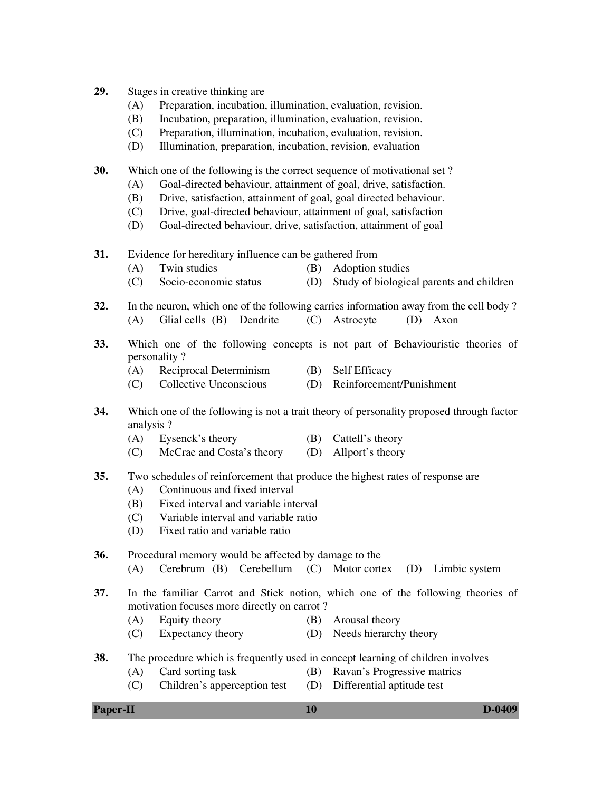- **29.** Stages in creative thinking are
	- (A) Preparation, incubation, illumination, evaluation, revision.
	- (B) Incubation, preparation, illumination, evaluation, revision.
	- (C) Preparation, illumination, incubation, evaluation, revision.
	- (D) Illumination, preparation, incubation, revision, evaluation
- **30.** Which one of the following is the correct sequence of motivational set ?
	- (A) Goal-directed behaviour, attainment of goal, drive, satisfaction.
	- (B) Drive, satisfaction, attainment of goal, goal directed behaviour.
	- (C) Drive, goal-directed behaviour, attainment of goal, satisfaction
	- (D) Goal-directed behaviour, drive, satisfaction, attainment of goal
- **31.** Evidence for hereditary influence can be gathered from
	- (A) Twin studies (B) Adoption studies
	- (C) Socio-economic status (D) Study of biological parents and children
- **32.** In the neuron, which one of the following carries information away from the cell body ? (A) Glial cells (B) Dendrite (C) Astrocyte (D) Axon
- **33.** Which one of the following concepts is not part of Behaviouristic theories of personality ?
	- (A) Reciprocal Determinism (B) Self Efficacy
	- (C) Collective Unconscious (D) Reinforcement/Punishment
- **34.** Which one of the following is not a trait theory of personality proposed through factor analysis ?
	- (A) Eysenck's theory (B) Cattell's theory
	- (C) McCrae and Costa's theory (D) Allport's theory
- **35.** Two schedules of reinforcement that produce the highest rates of response are
	- (A) Continuous and fixed interval
	- (B) Fixed interval and variable interval
	- (C) Variable interval and variable ratio
	- (D) Fixed ratio and variable ratio

**36.** Procedural memory would be affected by damage to the

- (A) Cerebrum (B) Cerebellum (C) Motor cortex (D) Limbic system
- **37.** In the familiar Carrot and Stick notion, which one of the following theories of motivation focuses more directly on carrot ?
	- (A) Equity theory (B) Arousal theory
	- (C) Expectancy theory (D) Needs hierarchy theory
- **38.** The procedure which is frequently used in concept learning of children involves
	- (A) Card sorting task (B) Ravan's Progressive matrics
	- (C) Children's apperception test (D) Differential aptitude test
- 

**Paper-II D-0409**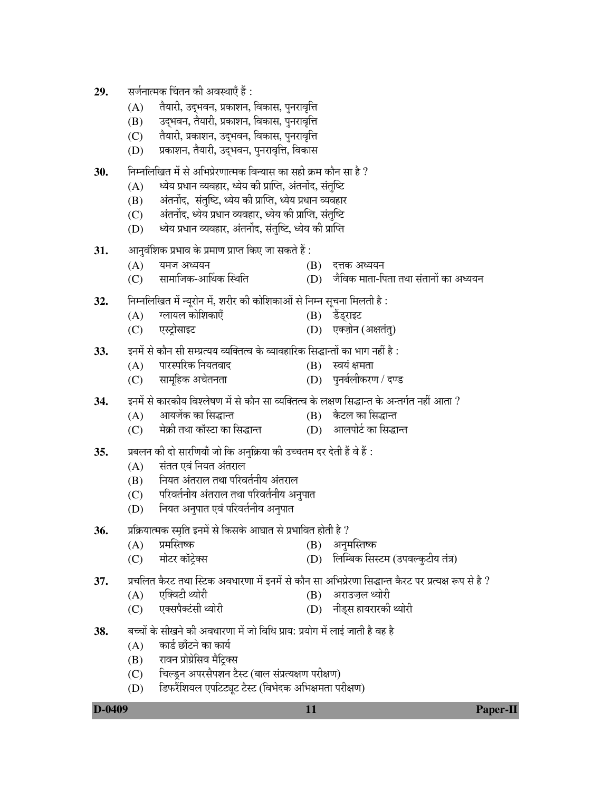- **29.** सर्जनात्मक चिंतन की अवस्थाएँ हैं :
	- $(A)$   $\dot{a}$ वैयारी, उदभवन, प्रकाशन, विकास, पुनरावृत्ति
	- (B) उद्भवन, तैयारी, प्रकाशन, विकास, पुनरावृत्ति
	- (C) तैयारी, प्रकाशन, उद्भवन, विकास, पुनरावृत्ति
	- (D) प्रकाशन, तैयारी, उद्भवन, पुनरावृत्ति, विकास
- 30. ← निम्नलिखित में से अभिप्रेरणात्मक विन्यास का सही क्रम कौन सा है ?
	- $(A)$  व्यिय प्रधान व्यवहार, ध्येय की प्राप्ति, अंतर्नोद, संतृष्टि
	- $(B)$  । अंतर्नोद, संतुष्टि, ध्येय की प्राप्ति, ध्येय प्रधान व्यवहार
	- (C) । अंतर्नोद, ध्येय प्रधान व्यवहार, ध्येय की प्राप्ति, संतुष्टि
	- (D) ब्येय प्रधान व्यवहार, अंतर्नोद, संतुष्टि, ध्येय की प्राप्ति
- **31.** †Ö−Öã¾ÖÓ׿Öú ¯ÖϳÖÖ¾Ö êú ¯ÖÏ´ÖÖ&Ö ¯ÖÏÖ¯ŸÖ ×ú‹ •ÖÖ ÃÖúŸÖê Æïü :
	- $(A)$  ਧੰਸਾਰ ਅੰਘਹਮ (B) ਵਜ਼ਨ ਅੰਘਹਮ
	- $(C)$  सामाजिक-आर्थिक स्थिति (D) जैविक माता-पिता तथा संतानों का अध्ययन
- **32.** ×−Ö´−Ö×»Ö×-ÖŸÖ ´Öë −µÖæ¸üÖê−Ö ´Öë, ¿Ö¸ü߸ü úß úÖê׿ÖúÖ†Öë ÃÖê ×−Ö´−Ö ÃÖæ"Ö−ÖÖ ×´Ö»ÖŸÖß Æîü :
	- $(A)$  गलायल कोशिकाएँ  $(B)$  उँड्राइट
	- (C) ‹Ã™ÒüÖêÃÖÖ‡™ü (D) ‹Œ•ÖÌÖê−Ö (†%ÖŸÖÓŸÖã)
- 33. ∑ इनमें से कौन सी सम्प्रत्यय व्यक्तित्व के व्यावहारिक सिद्धान्तों का भाग नहीं है :
	- $(A)$  पारस्परिक नियतवाद  $(B)$  स्वयं क्षमता
	- (C) सामहिक अचेतनता † ÖD) पनर्बलीकरण / दण्ड
- **34.** ∑नमें से कारकीय विश्लेषण में से कौन सा व्यक्तित्व के लक्षण सिद्धान्त के अन्तर्गत नहीं आता ?
	- (A) †ÖµÖ•Öëú úÖ ×ÃÖ¨üÖ−ŸÖ (B) îú™ü»Ö úÖ ×ÃÖ¨üÖ−ŸÖ
	- $(C)$  नेक्री तथा कॉस्टा का सिद्धान्त  $(D)$  आलपोर्ट का सिद्धान्त
- 35. प्रबलन की दो सारणियाँ जो कि अनुक्रिया की उच्चतम दर देती हैं वे हैं :
	- (A) संतत एवं नियत अंतराल
	- (B) नियत अंतराल तथा परिवर्तनीय अंतराल
	- $(C)$  परिवर्तनीय अंतराल तथा परिवर्तनीय अनुपात
	- (D) नियत अनुपात एवं परिवर्तनीय अनुपात
- **36.** ∑Øिक्रयात्मक स्मृति इनमें से किसके आघात से प्रभावित होती है ?
	- (A) ¯ÖÏ´ÖÛßÖÂú (B) †−Öã´ÖÛßÖÂú
	- (C) ´ÖÖê™ü¸ü úÖò™ÒêüŒÃÖ (D) ×»ÖÛ´²Öú ×ÃÖÙü´Ö (ˆ¯Ö¾Ö»ãú™üßµÖ ŸÖÓ¡Ö)
- 3**7.** ∑ प्रचलित कैरट तथा स्टिक अवधारणा में इनमें से कौन सा अभिप्रेरणा सिद्धान्त कैरट पर प्रत्यक्ष रूप से है ?
	- $(A)$  एक्विटी थ्योरी  $(B)$  अराउज़ल थ्योरी
	- (C) ‹ŒÃÖ¯ÖÓüÃÖß £µÖÖê¸üß (D) −Öß›ËüÃÖ ÆüÖµÖ¸üÖ¸üúß £µÖÖê¸üß
- 38. बच्चों के सीखने की अवधारणा में जो विधि प्राय: प्रयोग में लाई जाती है वह है
	- $(A)$  कार्ड छाँटने का कार्य
	- (B) रावन प्रोग्रेसिव मैट्रिक्स
	- (C) चिल्ड्न अपरसैपशन टैस्ट (बाल संप्रत्यक्षण परीक्षण)
	- (D) हिफरैंशियल एपटिट्यट टैस्ट (विभेदक अभिक्षमता परीक्षण)

**D-0409 11 Paper-II**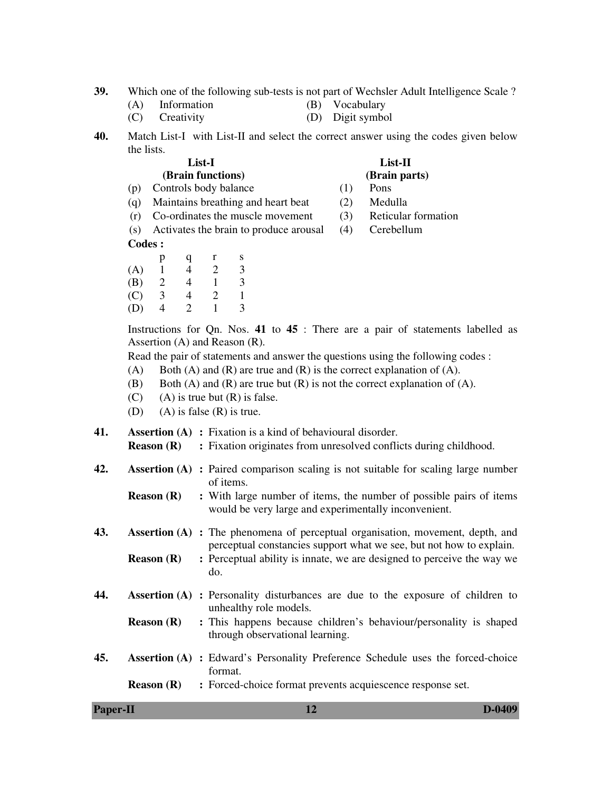- **39.** Which one of the following sub-tests is not part of Wechsler Adult Intelligence Scale ?
	- (A) Information (B) Vocabulary
	- (C) Creativity (D) Digit symbol
- **40.** Match List-I with List-II and select the correct answer using the codes given below the lists.

| List-I            |  |  |  |  |  |
|-------------------|--|--|--|--|--|
| (Brain functions) |  |  |  |  |  |

### **List-II (Brain parts)**

- (p) Controls body balance (1) Pons
- (q) Maintains breathing and heart beat (2) Medulla
- (r) Co-ordinates the muscle movement (3) Reticular formation

(s) Activates the brain to produce arousal (4) Cerebellum

**Codes :** 

 p q r s  $(A)$  1 4 2 3 (B) 2 4 1 3 (C) 3 4 2 1 (D) 4 2 1 3

 Instructions for Qn. Nos. **41** to **45** : There are a pair of statements labelled as Assertion (A) and Reason (R).

Read the pair of statements and answer the questions using the following codes :

- (A) Both (A) and (R) are true and (R) is the correct explanation of (A).
- (B) Both (A) and (R) are true but (R) is not the correct explanation of (A).
- $(C)$  (A) is true but  $(R)$  is false.
- (D) (A) is false  $(R)$  is true.

**41. Assertion (A) :** Fixation is a kind of behavioural disorder.

- **Reason (R)** : Fixation originates from unresolved conflicts during childhood.
- **42. Assertion (A) :** Paired comparison scaling is not suitable for scaling large number of items.
	- **Reason (R)** : With large number of items, the number of possible pairs of items would be very large and experimentally inconvenient.
- **43. Assertion (A) :** The phenomena of perceptual organisation, movement, depth, and perceptual constancies support what we see, but not how to explain.
	- **Reason (R)** : Perceptual ability is innate, we are designed to perceive the way we do.
- **44. Assertion (A) :** Personality disturbances are due to the exposure of children to unhealthy role models.
	- **Reason (R)** : This happens because children's behaviour/personality is shaped through observational learning.
- **45. Assertion (A) :** Edward's Personality Preference Schedule uses the forced-choice format.

**Reason (R) :** Forced-choice format prevents acquiescence response set.

| <b>Paper-II</b> | D-0409 |
|-----------------|--------|
|                 |        |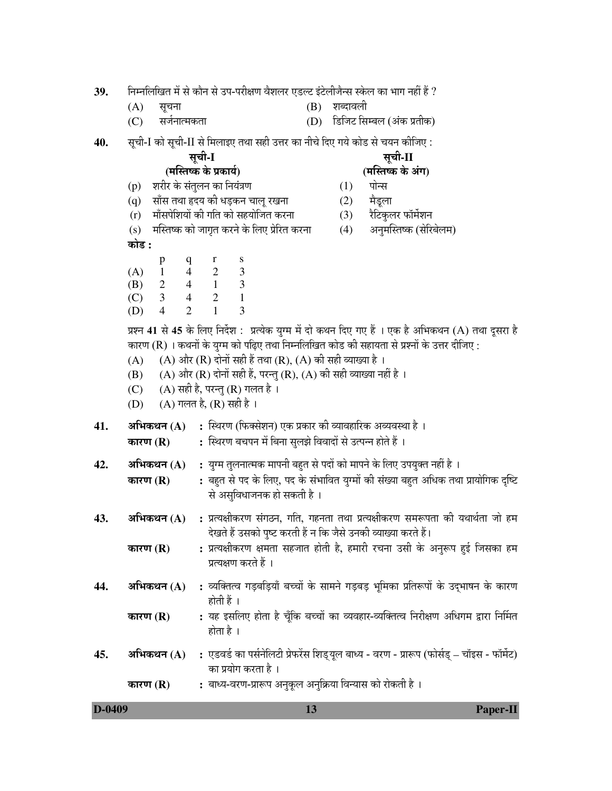निम्नलिखित में से कौन से उप-परीक्षण वैशलर एडल्ट इंटेलीजैन्स स्केल का भाग नहीं हैं ? 39.

- $(B)$  शब्दावली  $(A)$ सूचना
- सर्जनात्मकता (D) डिजिट सिम्बल (अंक प्रतीक)  $(C)$
- 40. सूची-I को सूची-II से मिलाइए तथा सही उत्तर का नीचे दिए गये कोड से चयन कीजिए :

#### सूची-I (मस्तिष्क के प्रकार्य)

- (p) शरीर के संतुलन का नियंत्रण
- (q) साँस तथा हृदय की धड़कन चालु रखना
- (r) माँसपेशियों की गति को सहयोजित करना
- (s) मस्तिष्क को जागृत करने के लिए प्रेरित करना

# कोड :

 $\bf r$  $\mathbf S$  $p$  $\mathbf{q}$ 3  $(A)$  $\overline{4}$ 2 1 (B) 2  $\overline{4}$  $\mathbf{1}$ 3  $\overline{4}$  $\overline{2}$  $\mathbf{1}$ 3  $(C)$  $\overline{2}$  $\overline{4}$  $\mathbf{1}$ 3 (D)

प्रश्न 41 से 45 के लिए निर्देश: प्रत्येक युग्म में दो कथन दिए गए हैं । एक है अभिकथन (A) तथा दूसरा है कारण (R) । कथनों के युग्म को पढिए तथा निम्नलिखित कोड की सहायता से प्रश्नों के उत्तर दीजिए :

- (A) और (R) दोनों सही हैं तथा (R), (A) की सही व्याख्या है ।  $(A)$
- (A) और (R) दोनों सही हैं, परन्तु (R), (A) की सही व्याख्या नहीं है । (B)
- $(C)$  $(A)$  सही है, परन्तु (R) गलत है।
- $(A)$  गलत है,  $(R)$  सही है । (D)
- : स्थिरण (फिक्सेशन) एक प्रकार की व्यावहारिक अव्यवस्था है । 41. अभिकथन  $(A)$ 
	- : स्थिरण बचपन में बिना सुलझे विवादों से उत्पन्न होते हैं । कारण $(R)$
- 42. अभिकथन  $(A)$ : युग्म तुलनात्मक मापनी बहुत से पदों को मापने के लिए उपयुक्त नहीं है ।
	- : बहुत से पद के लिए, पद के संभावित युग्मों की संख्या बहुत अधिक तथा प्रायोगिक दृष्टि कारण $(R)$ से असुविधाजनक हो सकती है।
- : प्रत्यक्षीकरण संगठन, गति, गहनता तथा प्रत्यक्षीकरण समरूपता की यथार्थता जो हम 43. अभिकथन (A) देखते हैं उसको पृष्ट करती हैं न कि जैसे उनकी व्याख्या करते हैं।
	- : प्रत्यक्षीकरण क्षमता सहजात होती है, हमारी रचना उसी के अनुरूप हई जिसका हम कारण $(R)$ प्रत्यक्षण करते हैं ।
- : व्यक्तित्व गड़बड़ियाँ बच्चों के सामने गड़बड़ भूमिका प्रतिरूपों के उदभाषन के कारण 44. अभिकथन  $(A)$ होती हैं ।
	- : यह इसलिए होता है चूँकि बच्चों का व्यवहार-व्यक्तित्व निरीक्षण अधिगम द्वारा निर्मित कारण (R) होता है ।
- : एडवर्ड का पर्सनेलिटी प्रेफरेंस शिड्यूल बाध्य वरण प्रारूप (फोर्सड् चॉइस फॉर्मेट) 45. अभिकथन $(A)$ का प्रयोग करता है।

: बाध्य-वरण-प्रारूप अनुकूल अनुक्रिया विन्यास को रोकती है। कारण $(R)$ 

| D-0409 | $\mathbf{D}_{\alpha}$<br>Paper-11 |
|--------|-----------------------------------|
|        |                                   |

# सूची-II

# (मस्तिष्क के अंग)

- $(1)$ पोन्स
	- मैडला
- $(3)$ रैटिकुलर फॉर्मेशन
- $(2)$
- अनमस्तिष्क (सेरिबेलम)  $(4)$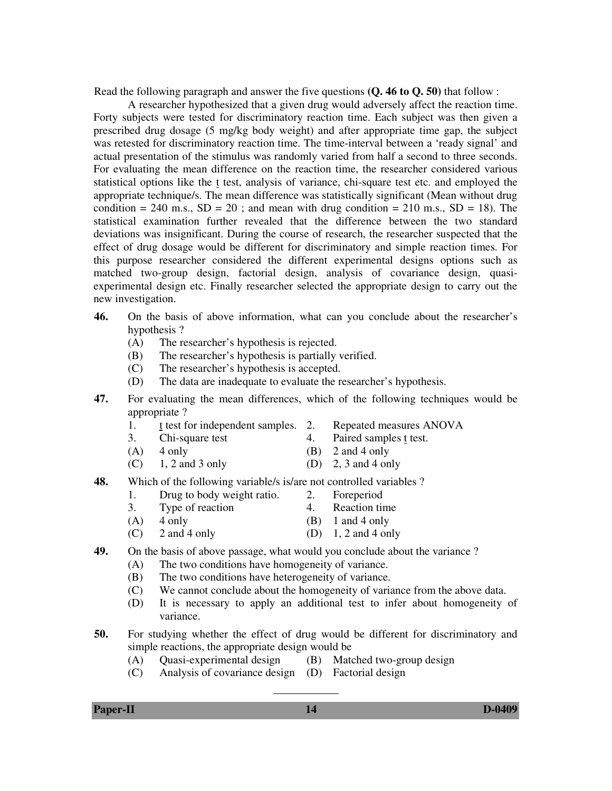Read the following paragraph and answer the five questions **(Q. 46 to Q. 50)** that follow :

 A researcher hypothesized that a given drug would adversely affect the reaction time. Forty subjects were tested for discriminatory reaction time. Each subject was then given a prescribed drug dosage (5 mg/kg body weight) and after appropriate time gap, the subject was retested for discriminatory reaction time. The time-interval between a 'ready signal' and actual presentation of the stimulus was randomly varied from half a second to three seconds. For evaluating the mean difference on the reaction time, the researcher considered various statistical options like the t test, analysis of variance, chi-square test etc. and employed the appropriate technique/s. The mean difference was statistically significant (Mean without drug condition  $= 240$  m.s.,  $SD = 20$ ; and mean with drug condition  $= 210$  m.s.,  $SD = 18$ ). The statistical examination further revealed that the difference between the two standard deviations was insignificant. During the course of research, the researcher suspected that the effect of drug dosage would be different for discriminatory and simple reaction times. For this purpose researcher considered the different experimental designs options such as matched two-group design, factorial design, analysis of covariance design, quasiexperimental design etc. Finally researcher selected the appropriate design to carry out the new investigation.

- **46.** On the basis of above information, what can you conclude about the researcher's hypothesis ?
	- (A) The researcher's hypothesis is rejected.
	- (B) The researcher's hypothesis is partially verified.
	- (C) The researcher's hypothesis is accepted.
	- (D) The data are inadequate to evaluate the researcher's hypothesis.
- **47.** For evaluating the mean differences, which of the following techniques would be appropriate ?
	-
	- 1. t test for independent samples. 2. Repeated measures ANOVA
	- 3. Chi-square test 4. Paired samples t test.
	- $(A)$  4 only  $(B)$  2 and 4 only
	- $(C)$  1, 2 and 3 only  $(D)$  2, 3 and 4 only
- **48.** Which of the following variable/s is/are not controlled variables ?
	- 1. Drug to body weight ratio. 2. Foreperiod
	- 3. Type of reaction 4. Reaction time
	- $(A)$  4 only  $(B)$  1 and 4 only
	- $(C)$  2 and 4 only  $(D)$  1, 2 and 4 only
- **49.** On the basis of above passage, what would you conclude about the variance ?
	- (A) The two conditions have homogeneity of variance.
	- (B) The two conditions have heterogeneity of variance.
	- (C) We cannot conclude about the homogeneity of variance from the above data.
	- (D) It is necessary to apply an additional test to infer about homogeneity of variance.
- **50.** For studying whether the effect of drug would be different for discriminatory and simple reactions, the appropriate design would be
	- (A) Quasi-experimental design (B) Matched two-group design
		-
	- (C) Analysis of covariance design (D) Factorial design

 $\overline{a}$ 

**Paper-II D-0409**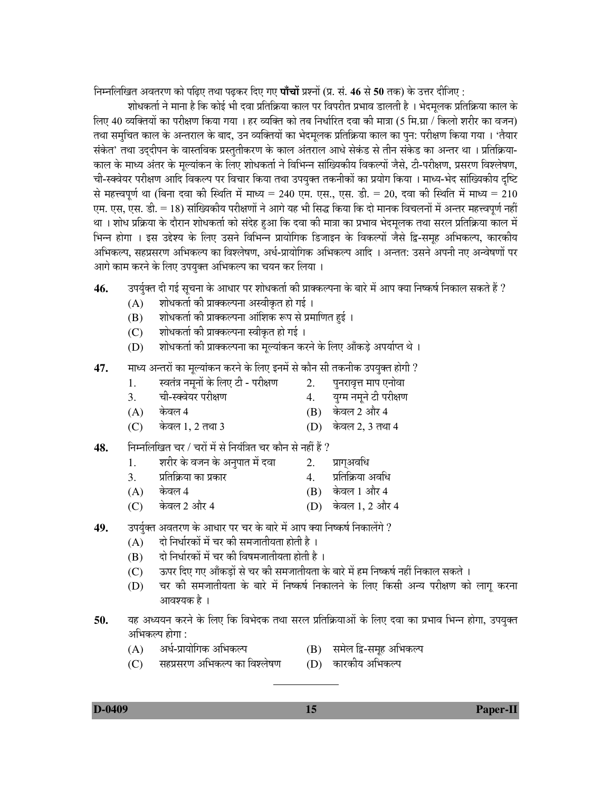निम्नलिखित अवतरण को पढिए तथा पढकर दिए गए **पाँचों** प्रश्नों (प्र. सं. 46 से 50 तक) के उत्तर दीजिए :

शोधकर्ता ने माना है कि कोई भी दवा प्रतिक्रिया काल पर विपरीत प्रभाव डालती है । भेदमलक प्रतिक्रिया काल के लिए 40 व्यक्तियों का परीक्षण किया गया । हर व्यक्ति को तब निर्धारित दवा की मात्रा (5 मि.ग्रा / किलो शरीर का वजन) तथा समचित काल के अन्तराल के बाद, उन व्यक्तियों का भेदमलक प्रतिक्रिया काल का पन: परीक्षण किया गया । 'तैयार संकेत' तथा उददीपन के वास्तविक प्रस्ततीकरण के काल अंतराल आधे सेकंड से तीन संकेड का अन्तर था । प्रतिक्रिया-काल के माध्य अंतर के मुल्यांकन के लिए शोधकर्ता ने विभिन्न सांख्यिकीय विकल्पों जैसे, टी-परीक्षण, प्रसरण विश्लेषण, ची-स्क्वेयर परीक्षण आदि विकल्प पर विचार किया तथा उपयुक्त तकनीकों का प्रयोग किया । माध्य-भेद सांख्यिकीय दृष्टि से महत्त्वपूर्ण था (बिना दवा की स्थिति में माध्य = 240 एम. एस., एस. डी. = 20, दवा की स्थिति में माध्य = 210 एम. एस, एस. डी. = 18) सांख्यिकीय परीक्षणों ने आगे यह भी सिद्ध किया कि दो मानक विचलनों में अन्तर महत्त्वपूर्ण नहीं था । शोध प्रक्रिया के दौरान शोधकर्ता को संदेह हुआ कि दवा की मात्रा का प्रभाव भेदमूलक तथा सरल प्रतिक्रिया काल में भिन्न होगा । इस उद्देश्य के लिए उसने विभिन्न प्रायोगिक डिजाइन के विकल्पों जैसे द्वि-समुह अभिकल्प, कारकीय अभिकल्प, सहप्रसरण अभिकल्प का विश्लेषण, अर्ध-प्रायोगिक अभिकल्प आदि । अन्तत: उसने अपनी नए अन्वेषणों पर आगे काम करने के लिए उपयक्त अभिकल्प का चयन कर लिया ।

- **46.** ⊙उपर्यृक्त दी गई सृचना के आधार पर शोधकर्ता की प्राक्कल्पना के बारे में आप क्या निष्कर्ष निकाल सकते हैं ?
	- $(A)$  शोधकर्ता की प्राक्कल्पना अस्वीकृत हो गई ।
	- $(B)$  शोधकर्ता की प्राक्कल्पना आंशिक रूप से प्रमाणित हई ।
	- (C) सोधकर्ता की प्राक्कल्पना स्वीकृत हो गई ।
	- $(D)$  शोधकर्ता की प्राक्कल्पना का मूल्यांकन करने के लिए आँकड़े अपर्याप्त थे ।
- **47.** माध्य अन्तरों का मुल्यांकन करने के लिए इनमें से कौन सी तकनीक उपयुक्त होगी ?
	- 1. स्वतंत्र नमूनों के लिए टी परीक्षण 2. पुनरावृत्त माप एनोवा
	- 3. ची-स्क्वेयर परीक्षण 4. यग्म नमने टी परीक्षण
	- $(A)$  केवल 4 (B) केवल 2 और 4
		-
	- $(C)$  केवल 1, 2 तथा 3  $(D)$  केवल 2, 3 तथा 4
- **48.** ×−Ö´−Ö×»Ö×-ÖŸÖ "Ö¸ü / "Ö¸üÖë ´Öë ÃÖê ×−ÖµÖÓ×¡ÖŸÖ "Ö¸ü úÖî−Ö ÃÖê −ÖÆüà Æïü ?
	- 1. शरीर के वजन के अनुपात में दवा 2. प्रागअवधि
	- $3.$  प्रतिक्रिया का प्रकार  $\overline{a}$  and  $\overline{a}$  and  $\overline{a}$
	- $(A)$  केवल 4 (B) केवल 1 और 4
	- $(C)$  केवल 2 और 4 (D) केवल 1, 2 और 4
- 49. <sup>∂</sup>उपर्युक्त अवतरण के आधार पर चर के बारे में आप क्या निष्कर्ष निकालेंगे ?
	- $(A)$   $\vec{a}$  दो निर्धारकों में चर की समजातीयता होती है ।
	- $(B)$   $\vec{a}$  दो निर्धारकों में चर की विषमजातीयता होती है ।
	- $(C)$  ँ ऊपर दिए गए आँकड़ों से चर की समजातीयता के बारे में हम निष्कर्ष नहीं निकाल सकते ।
	- (D) "चर की समजातीयता के बारे में निष्कर्ष निकालने के लिए किसी अन्य परीक्षण को लागू करना आवश्यक है ।
- 50. µBE अध्ययन करने के लिए कि विभेदक तथा सरल प्रतिक्रियाओं के लिए दवा का प्रभाव भिन्न होगा, उपयुक्त अभिकल्प होगा $\,$ :
	- $(A)$  । अर्ध-प्रायोगिक अभिकल्प (B) समेल द्वि-समह अभिकल्प

 $\overline{a}$ 

- 
- (C) सहप्रसरण अभिकल्प का विश्लेषण (D) कारकीय अभिकल्प

**D-0409 15 Paper-II**